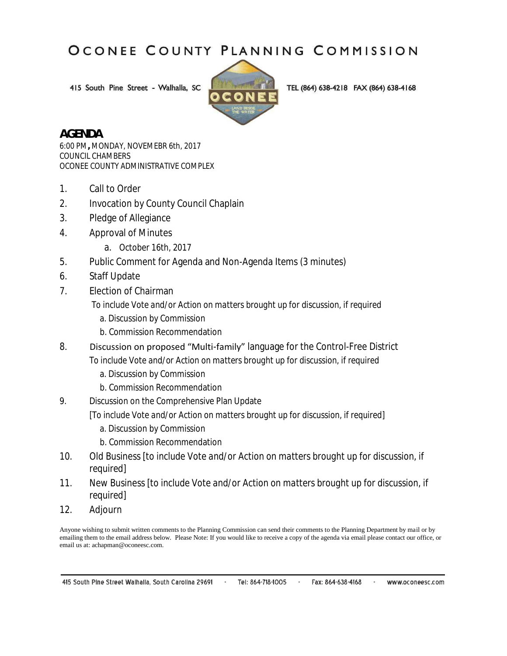415 South Pine Street - Walhalla, SC



TEL (864) 638-4218 FAX (864) 638-4168

#### **AGENDA**

6:00 PM**,** MONDAY, NOVEMEBR 6th, 2017 COUNCIL CHAMBERS OCONEE COUNTY ADMINISTRATIVE COMPLEX

- 1. Call to Order
- 2. Invocation by County Council Chaplain
- 3. Pledge of Allegiance
- 4. Approval of Minutes
	- a. October 16th, 2017
- 5. Public Comment for Agenda and Non-Agenda Items (3 minutes)
- 6. Staff Update
- 7. Election of Chairman

#### *To include Vote and/or Action on matters brought up for discussion, if required*

- a. Discussion by Commission
- b. Commission Recommendation
- 8. Discussion on proposed "Multi-family" language for the Control-Free District

#### *To include Vote and/or Action on matters brought up for discussion, if required*

- a. Discussion by Commission
- b. Commission Recommendation
- 9. Discussion on the Comprehensive Plan Update

#### [*To include Vote and/or Action on matters brought up for discussion, if required*]

- a. Discussion by Commission
- b. Commission Recommendation
- 10. Old Business [*to include Vote and/or Action on matters brought up for discussion, if required*]

#### 11. New Business [*to include Vote and/or Action on matters brought up for discussion, if required*]

12. Adjourn

Anyone wishing to submit written comments to the Planning Commission can send their comments to the Planning Department by mail or by emailing them to the email address below. Please Note: If you would like to receive a copy of the agenda via email please contact our office, or email us at: achapman@oconeesc.com.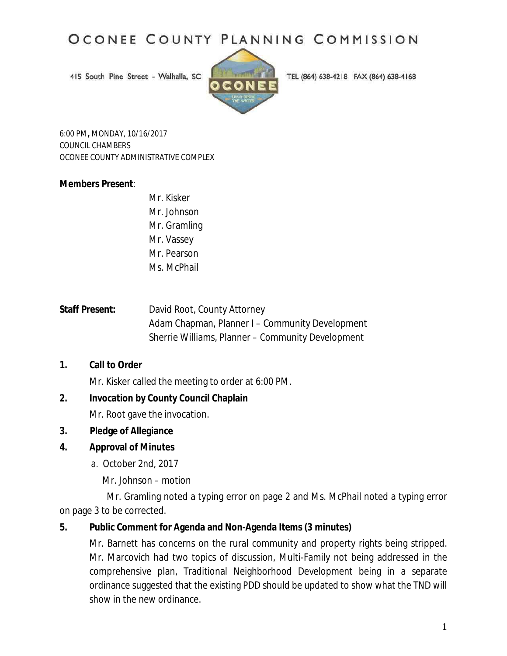415 South Pine Street - Walhalla, SC



TEL (864) 638-4218 FAX (864) 638-4168

6:00 PM**,** MONDAY, 10/16/2017 COUNCIL CHAMBERS OCONEE COUNTY ADMINISTRATIVE COMPLEX

#### **Members Present**:

- Mr. Kisker Mr. Johnson Mr. Gramling Mr. Vassey Mr. Pearson Ms. McPhail
- **Staff Present:** David Root, County Attorney Adam Chapman, Planner I – Community Development Sherrie Williams, Planner – Community Development

#### **1. Call to Order**

Mr. Kisker called the meeting to order at 6:00 PM.

#### **2. Invocation by County Council Chaplain**

Mr. Root gave the invocation.

#### **3. Pledge of Allegiance**

#### **4. Approval of Minutes**

a. October 2nd, 2017

Mr. Johnson – motion

 Mr. Gramling noted a typing error on page 2 and Ms. McPhail noted a typing error on page 3 to be corrected.

#### **5. Public Comment for Agenda and Non-Agenda Items (3 minutes)**

Mr. Barnett has concerns on the rural community and property rights being stripped. Mr. Marcovich had two topics of discussion, Multi-Family not being addressed in the comprehensive plan, Traditional Neighborhood Development being in a separate ordinance suggested that the existing PDD should be updated to show what the TND will show in the new ordinance.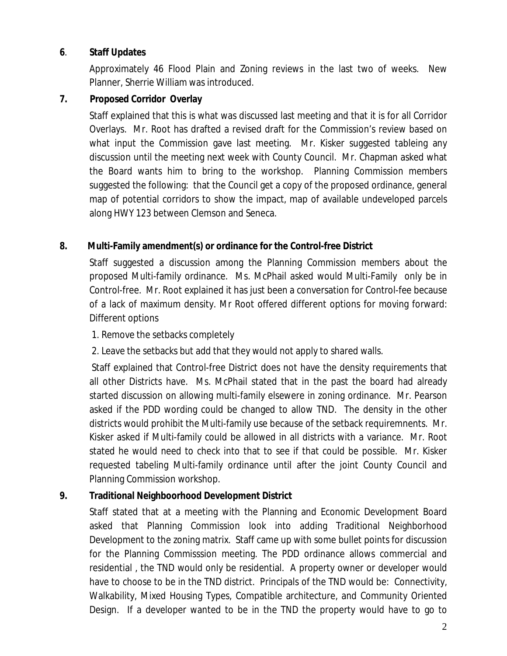#### **6**. **Staff Updates**

Approximately 46 Flood Plain and Zoning reviews in the last two of weeks. New Planner, Sherrie William was introduced.

#### **7. Proposed Corridor Overlay**

Staff explained that this is what was discussed last meeting and that it is for all Corridor Overlays. Mr. Root has drafted a revised draft for the Commission's review based on what input the Commission gave last meeting. Mr. Kisker suggested tableing any discussion until the meeting next week with County Council. Mr. Chapman asked what the Board wants him to bring to the workshop. Planning Commission members suggested the following: that the Council get a copy of the proposed ordinance, general map of potential corridors to show the impact, map of available undeveloped parcels along HWY 123 between Clemson and Seneca.

#### **8. Multi-Family amendment(s) or ordinance for the Control-free District**

Staff suggested a discussion among the Planning Commission members about the proposed Multi-family ordinance. Ms. McPhail asked would Multi-Family only be in Control-free. Mr. Root explained it has just been a conversation for Control-fee because of a lack of maximum density. Mr Root offered different options for moving forward: Different options

#### 1. Remove the setbacks completely

2. Leave the setbacks but add that they would not apply to shared walls.

Staff explained that Control-free District does not have the density requirements that all other Districts have. Ms. McPhail stated that in the past the board had already started discussion on allowing multi-family elsewere in zoning ordinance. Mr. Pearson asked if the PDD wording could be changed to allow TND. The density in the other districts would prohibit the Multi-family use because of the setback requiremnents. Mr. Kisker asked if Multi-family could be allowed in all districts with a variance. Mr. Root stated he would need to check into that to see if that could be possible. Mr. Kisker requested tabeling Multi-family ordinance until after the joint County Council and Planning Commission workshop.

#### **9. Traditional Neighboorhood Development District**

Staff stated that at a meeting with the Planning and Economic Development Board asked that Planning Commission look into adding Traditional Neighborhood Development to the zoning matrix. Staff came up with some bullet points for discussion for the Planning Commisssion meeting. The PDD ordinance allows commercial and residential , the TND would only be residential. A property owner or developer would have to choose to be in the TND district. Principals of the TND would be: Connectivity, Walkability, Mixed Housing Types, Compatible architecture, and Community Oriented Design. If a developer wanted to be in the TND the property would have to go to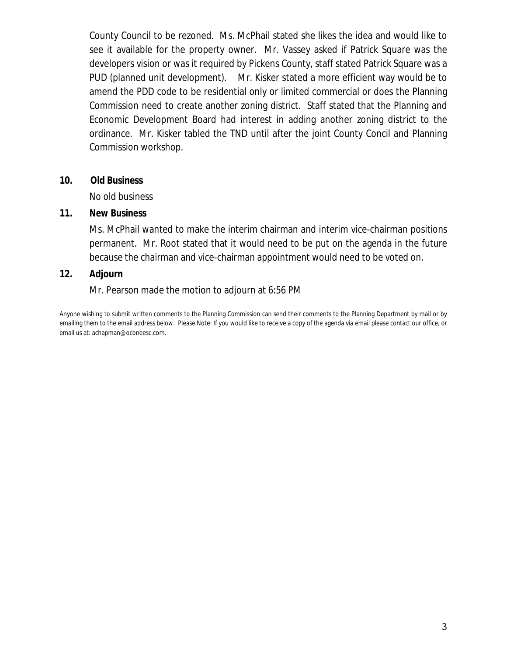County Council to be rezoned. Ms. McPhail stated she likes the idea and would like to see it available for the property owner. Mr. Vassey asked if Patrick Square was the developers vision or was it required by Pickens County, staff stated Patrick Square was a PUD (planned unit development). Mr. Kisker stated a more efficient way would be to amend the PDD code to be residential only or limited commercial or does the Planning Commission need to create another zoning district. Staff stated that the Planning and Economic Development Board had interest in adding another zoning district to the ordinance. Mr. Kisker tabled the TND until after the joint County Concil and Planning Commission workshop.

#### **10. Old Business**

No old business

#### **11. New Business**

Ms. McPhail wanted to make the interim chairman and interim vice-chairman positions permanent. Mr. Root stated that it would need to be put on the agenda in the future because the chairman and vice-chairman appointment would need to be voted on.

#### **12. Adjourn**

Mr. Pearson made the motion to adjourn at 6:56 PM

Anyone wishing to submit written comments to the Planning Commission can send their comments to the Planning Department by mail or by emailing them to the email address below. Please Note: If you would like to receive a copy of the agenda via email please contact our office, or email us at: achapman@oconeesc.com.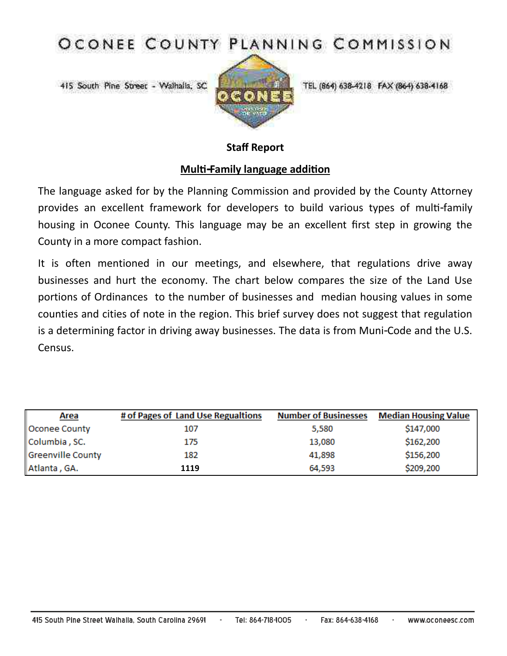415 South Pine Street - Walhalla, SC



TEL (864) 638-4218 FAX (864) 638-4168

#### **Staff Report**

#### **Multi-Family language addition**

The language asked for by the Planning Commission and provided by the County Attorney provides an excellent framework for developers to build various types of multi-family housing in Oconee County. This language may be an excellent first step in growing the County in a more compact fashion.

It is often mentioned in our meetings, and elsewhere, that regulations drive away businesses and hurt the economy. The chart below compares the size of the Land Use portions of Ordinances to the number of businesses and median housing values in some counties and cities of note in the region. This brief survey does not suggest that regulation is a determining factor in driving away businesses. The data is from Muni-Code and the U.S. Census.

| <b>Area</b>       | # of Pages of Land Use Regualtions | <b>Number of Businesses</b> | <b>Median Housing Value</b> |
|-------------------|------------------------------------|-----------------------------|-----------------------------|
| Oconee County     | 107                                | 5,580                       | \$147,000                   |
| Columbia, SC.     | 175                                | 13,080                      | \$162,200                   |
| Greenville County | 182                                | 41,898                      | \$156,200                   |
| Atlanta, GA.      | 1119                               | 64.593                      | \$209,200                   |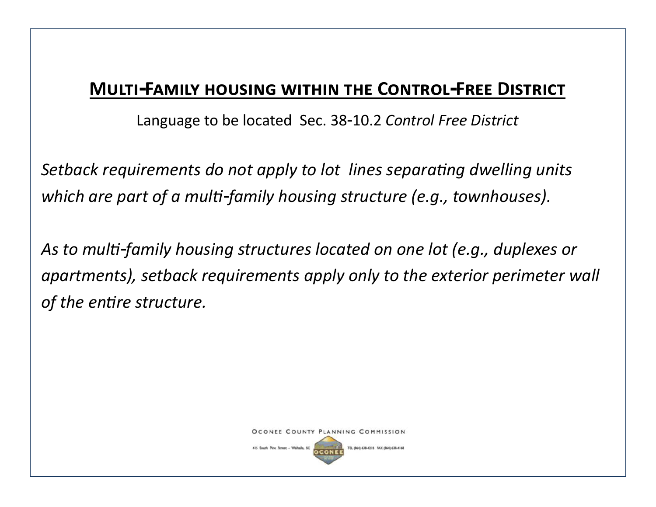## **Multi-Family housing within the Control-Free District**

Language to be located Sec. 38-10.2 *Control Free District*

*Setback requirements do not apply to lot lines separating dwelling units which are part of a multi-family housing structure (e.g., townhouses).*

*As to multi-family housing structures located on one lot (e.g., duplexes or apartments), setback requirements apply only to the exterior perimeter wall of the entire structure.*